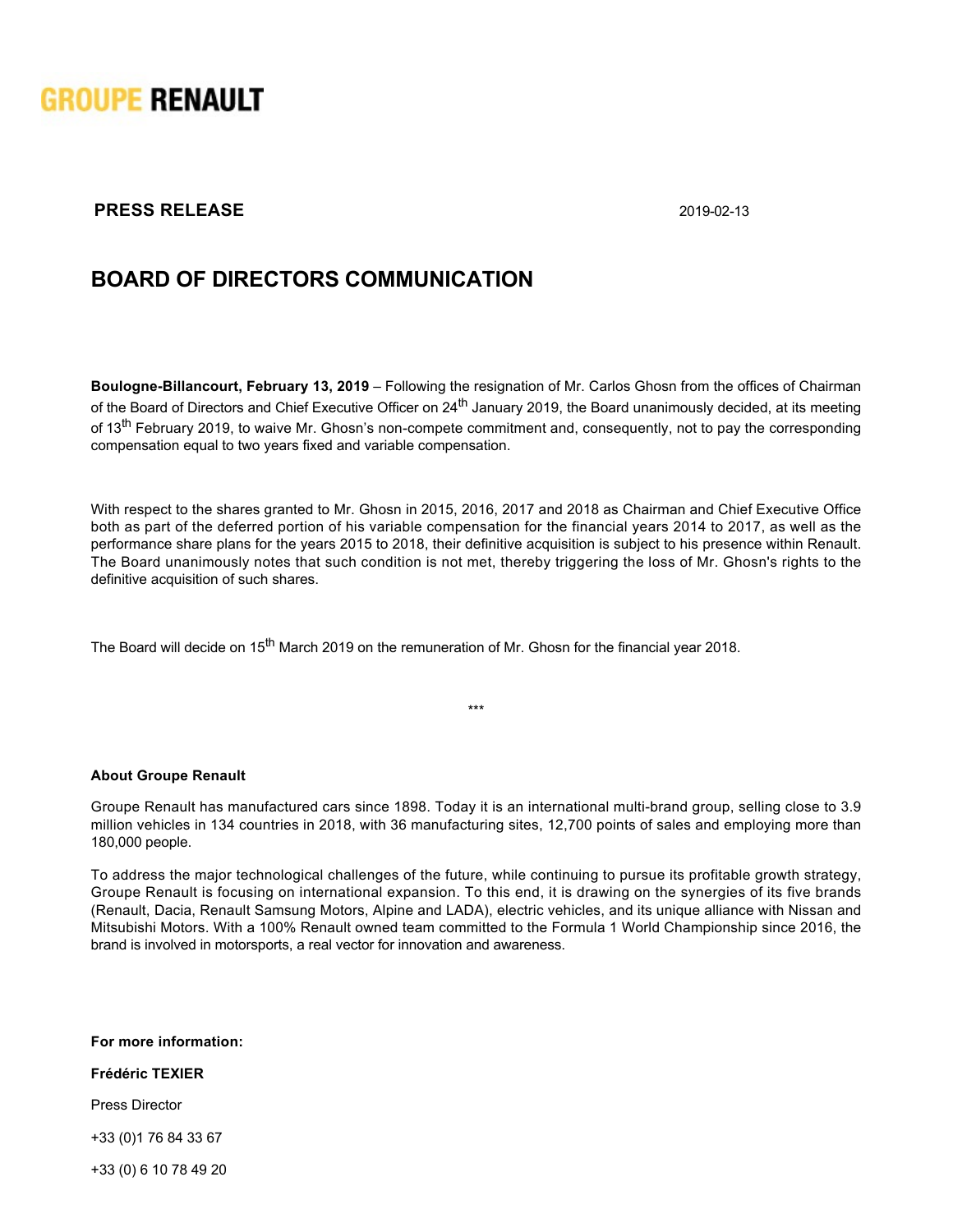

## **PRESS RELEASE** 2019-02-13

# **BOARD OF DIRECTORS COMMUNICATION**

**Boulogne-Billancourt, February 13, 2019** – Following the resignation of Mr. Carlos Ghosn from the offices of Chairman of the Board of Directors and Chief Executive Officer on 24<sup>th</sup> January 2019, the Board unanimously decided, at its meeting of 13<sup>th</sup> February 2019, to waive Mr. Ghosn's non-compete commitment and, consequently, not to pay the corresponding compensation equal to two years fixed and variable compensation.

With respect to the shares granted to Mr. Ghosn in 2015, 2016, 2017 and 2018 as Chairman and Chief Executive Office both as part of the deferred portion of his variable compensation for the financial years 2014 to 2017, as well as the performance share plans for the years 2015 to 2018, their definitive acquisition is subject to his presence within Renault. The Board unanimously notes that such condition is not met, thereby triggering the loss of Mr. Ghosn's rights to the definitive acquisition of such shares.

The Board will decide on 15<sup>th</sup> March 2019 on the remuneration of Mr. Ghosn for the financial year 2018.

\*\*\*

#### **About Groupe Renault**

Groupe Renault has manufactured cars since 1898. Today it is an international multi-brand group, selling close to 3.9 million vehicles in 134 countries in 2018, with 36 manufacturing sites, 12,700 points of sales and employing more than 180,000 people.

To address the major technological challenges of the future, while continuing to pursue its profitable growth strategy, Groupe Renault is focusing on international expansion. To this end, it is drawing on the synergies of its five brands (Renault, Dacia, Renault Samsung Motors, Alpine and LADA), electric vehicles, and its unique alliance with Nissan and Mitsubishi Motors. With a 100% Renault owned team committed to the Formula 1 World Championship since 2016, the brand is involved in motorsports, a real vector for innovation and awareness.

**For more information:**

**Frédéric TEXIER**

Press Director

+33 (0)1 76 84 33 67

+33 (0) 6 10 78 49 20